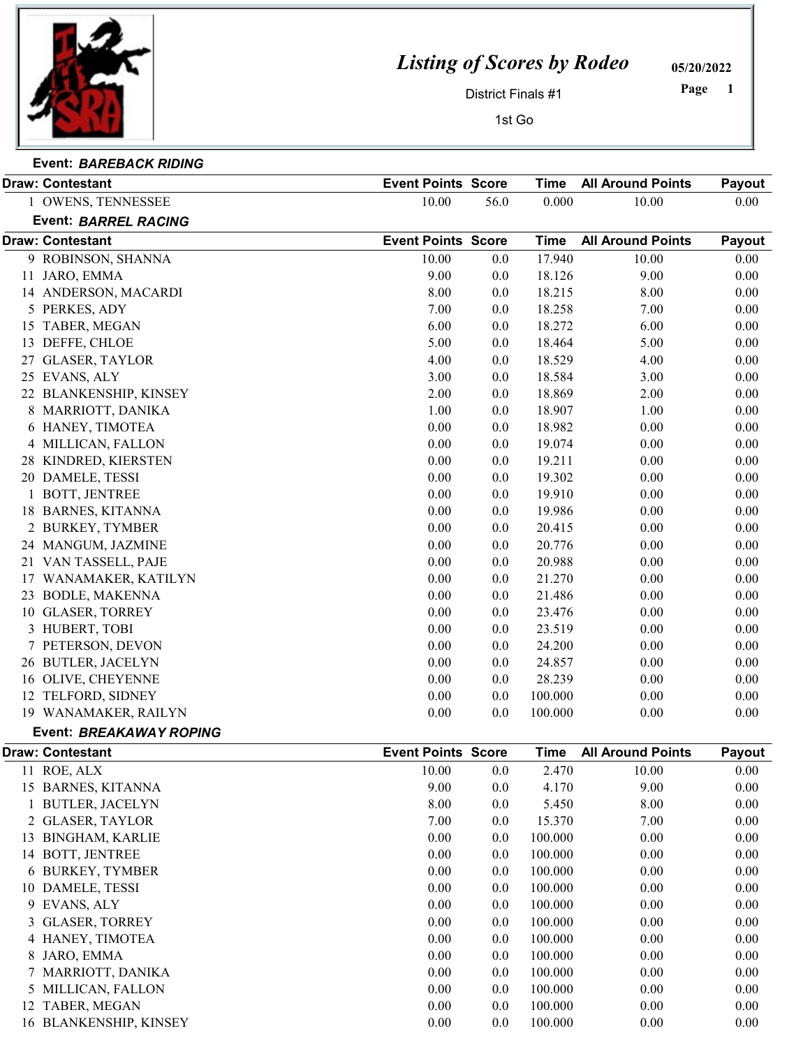

## Listing of Scores by Rodeo

05/20/2022

1 Page

District Finals #1

 $\overline{1}$ 

| ısı | UJO. |  |
|-----|------|--|
|     |      |  |
|     |      |  |

| st Go |  |
|-------|--|
|       |  |

| Event: BAREBACK RIDING |  |
|------------------------|--|

|   | <b>Draw: Contestant</b>        | <b>Event Points Score</b> |      | <b>Time</b> | <b>All Around Points</b> | Payout |
|---|--------------------------------|---------------------------|------|-------------|--------------------------|--------|
|   | 1 OWENS, TENNESSEE             | 10.00                     | 56.0 | 0.000       | 10.00                    | 0.00   |
|   | <b>Event: BARREL RACING</b>    |                           |      |             |                          |        |
|   | <b>Draw: Contestant</b>        | <b>Event Points Score</b> |      | <b>Time</b> | <b>All Around Points</b> | Payout |
|   | 9 ROBINSON, SHANNA             | 10.00                     | 0.0  | 17.940      | 10.00                    | 0.00   |
|   | 11 JARO, EMMA                  | 9.00                      | 0.0  | 18.126      | 9.00                     | 0.00   |
|   | 14 ANDERSON, MACARDI           | 8.00                      | 0.0  | 18.215      | 8.00                     | 0.00   |
|   | 5 PERKES, ADY                  | 7.00                      | 0.0  | 18.258      | 7.00                     | 0.00   |
|   | 15 TABER, MEGAN                | 6.00                      | 0.0  | 18.272      | 6.00                     | 0.00   |
|   | 13 DEFFE, CHLOE                | 5.00                      | 0.0  | 18.464      | 5.00                     | 0.00   |
|   | 27 GLASER, TAYLOR              | 4.00                      | 0.0  | 18.529      | 4.00                     | 0.00   |
|   | 25 EVANS, ALY                  | 3.00                      | 0.0  | 18.584      | 3.00                     | 0.00   |
|   | 22 BLANKENSHIP, KINSEY         | 2.00                      | 0.0  | 18.869      | 2.00                     | 0.00   |
|   | 8 MARRIOTT, DANIKA             | 1.00                      | 0.0  | 18.907      | 1.00                     | 0.00   |
|   | 6 HANEY, TIMOTEA               | 0.00                      | 0.0  | 18.982      | 0.00                     | 0.00   |
|   | 4 MILLICAN, FALLON             | 0.00                      | 0.0  | 19.074      | 0.00                     | 0.00   |
|   | 28 KINDRED, KIERSTEN           | 0.00                      | 0.0  | 19.211      | 0.00                     | 0.00   |
|   | 20 DAMELE, TESSI               | 0.00                      | 0.0  | 19.302      | 0.00                     | 0.00   |
|   | 1 BOTT, JENTREE                | 0.00                      | 0.0  | 19.910      | 0.00                     | 0.00   |
|   | 18 BARNES, KITANNA             | 0.00                      | 0.0  | 19.986      | 0.00                     | 0.00   |
|   | 2 BURKEY, TYMBER               | 0.00                      | 0.0  | 20.415      | 0.00                     | 0.00   |
|   | 24 MANGUM, JAZMINE             | 0.00                      | 0.0  | 20.776      | 0.00                     | 0.00   |
|   | 21 VAN TASSELL, PAJE           | 0.00                      | 0.0  | 20.988      | 0.00                     | 0.00   |
|   | 17 WANAMAKER, KATILYN          | 0.00                      | 0.0  | 21.270      | 0.00                     | 0.00   |
|   | 23 BODLE, MAKENNA              | 0.00                      | 0.0  | 21.486      | 0.00                     | 0.00   |
|   | 10 GLASER, TORREY              | 0.00                      | 0.0  | 23.476      | 0.00                     | 0.00   |
|   |                                | 0.00                      | 0.0  | 23.519      | 0.00                     | 0.00   |
|   | 3 HUBERT, TOBI                 | 0.00                      |      |             | 0.00                     |        |
|   | 7 PETERSON, DEVON              |                           | 0.0  | 24.200      |                          | 0.00   |
|   | 26 BUTLER, JACELYN             | 0.00                      | 0.0  | 24.857      | 0.00                     | 0.00   |
|   | 16 OLIVE, CHEYENNE             | 0.00                      | 0.0  | 28.239      | 0.00                     | 0.00   |
|   | 12 TELFORD, SIDNEY             | 0.00                      | 0.0  | 100.000     | 0.00                     | 0.00   |
|   | 19 WANAMAKER, RAILYN           | 0.00                      | 0.0  | 100.000     | 0.00                     | 0.00   |
|   | <b>Event: BREAKAWAY ROPING</b> |                           |      |             |                          |        |
|   | <b>Draw: Contestant</b>        | <b>Event Points Score</b> |      | <b>Time</b> | <b>All Around Points</b> | Payout |
|   | 11 ROE, ALX                    | 10.00                     | 0.0  | 2.470       | 10.00                    | 0.00   |
|   | 15 BARNES, KITANNA             | 9.00                      | 0.0  | 4.170       | 9.00                     | 0.00   |
|   | 1 BUTLER, JACELYN              | 8.00                      | 0.0  | 5.450       | 8.00                     | 0.00   |
|   | 2 GLASER, TAYLOR               | 7.00                      | 0.0  | 15.370      | 7.00                     | 0.00   |
|   | 13 BINGHAM, KARLIE             | 0.00                      | 0.0  | 100.000     | 0.00                     | 0.00   |
|   | 14 BOTT, JENTREE               | 0.00                      | 0.0  | 100.000     | 0.00                     | 0.00   |
|   | 6 BURKEY, TYMBER               | 0.00                      | 0.0  | 100.000     | 0.00                     | 0.00   |
|   | 10 DAMELE, TESSI               | 0.00                      | 0.0  | 100.000     | 0.00                     | 0.00   |
|   | 9 EVANS, ALY                   | 0.00                      | 0.0  | 100.000     | 0.00                     | 0.00   |
| 3 | <b>GLASER, TORREY</b>          | 0.00                      | 0.0  | 100.000     | 0.00                     | 0.00   |
|   | 4 HANEY, TIMOTEA               | 0.00                      | 0.0  | 100.000     | 0.00                     | 0.00   |
| 8 | JARO, EMMA                     | 0.00                      | 0.0  | 100.000     | 0.00                     | 0.00   |
|   | 7 MARRIOTT, DANIKA             | 0.00                      | 0.0  | 100.000     | 0.00                     | 0.00   |
|   | 5 MILLICAN, FALLON             | 0.00                      | 0.0  | 100.000     | 0.00                     | 0.00   |
|   | 12 TABER, MEGAN                | 0.00                      | 0.0  | 100.000     | 0.00                     | 0.00   |
|   | 16 BLANKENSHIP, KINSEY         | 0.00                      | 0.0  | 100.000     | 0.00                     | 0.00   |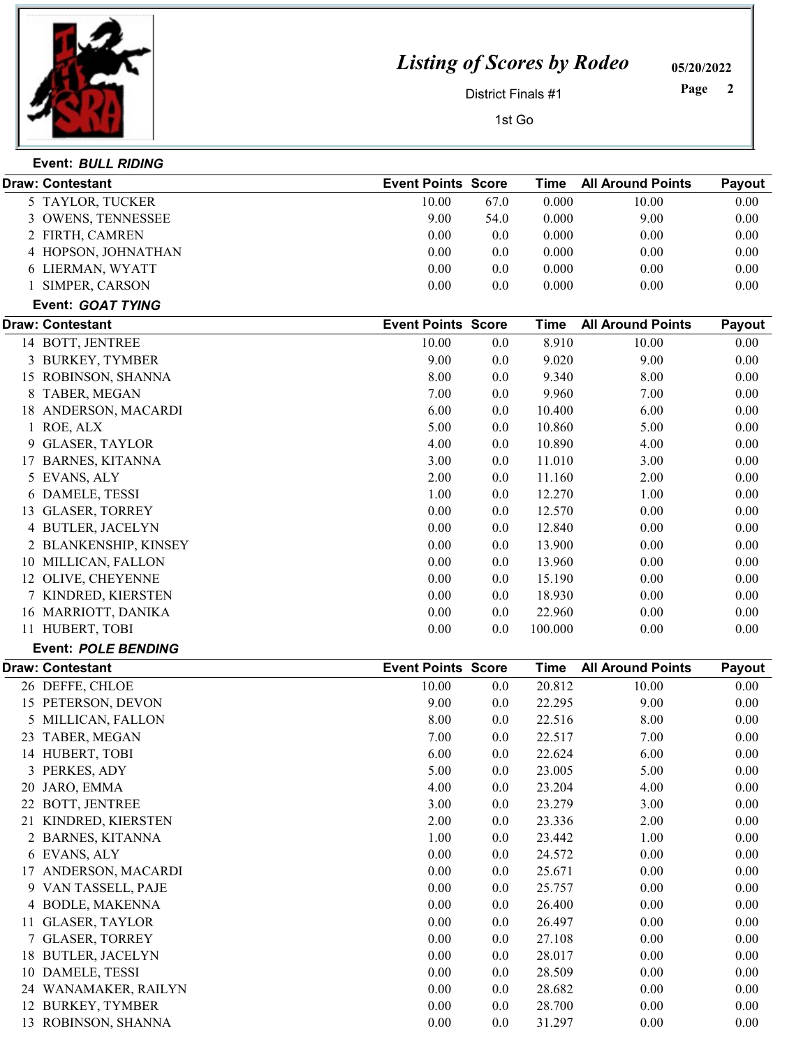

## Listing of Scores by Rodeo

05/20/2022

District Finals #1

Page 2

1st Go

|    | Draw: Contestant           | <b>Event Points Score</b> |      | <b>Time</b> | <b>All Around Points</b> | Payout   |
|----|----------------------------|---------------------------|------|-------------|--------------------------|----------|
|    | 5 TAYLOR, TUCKER           | 10.00                     | 67.0 | 0.000       | 10.00                    | 0.00     |
| 3  | <b>OWENS, TENNESSEE</b>    | 9.00                      | 54.0 | 0.000       | 9.00                     | 0.00     |
|    | 2 FIRTH, CAMREN            | 0.00                      | 0.0  | 0.000       | 0.00                     | 0.00     |
|    | 4 HOPSON, JOHNATHAN        | 0.00                      | 0.0  | 0.000       | 0.00                     | 0.00     |
|    | 6 LIERMAN, WYATT           | 0.00                      | 0.0  | 0.000       | 0.00                     | 0.00     |
|    | 1 SIMPER, CARSON           | 0.00                      | 0.0  | 0.000       | 0.00                     | 0.00     |
|    | Event: GOAT TYING          |                           |      |             |                          |          |
|    | <b>Draw: Contestant</b>    | <b>Event Points Score</b> |      | <b>Time</b> | <b>All Around Points</b> | Payout   |
|    | 14 BOTT, JENTREE           | 10.00                     | 0.0  | 8.910       | 10.00                    | 0.00     |
|    | 3 BURKEY, TYMBER           | 9.00                      | 0.0  | 9.020       | 9.00                     | 0.00     |
|    | 15 ROBINSON, SHANNA        | 8.00                      | 0.0  | 9.340       | 8.00                     | 0.00     |
|    | 8 TABER, MEGAN             | 7.00                      | 0.0  | 9.960       | 7.00                     | 0.00     |
|    | 18 ANDERSON, MACARDI       | 6.00                      | 0.0  | 10.400      | 6.00                     | 0.00     |
|    | 1 ROE, ALX                 | 5.00                      | 0.0  | 10.860      | 5.00                     | 0.00     |
|    | 9 GLASER, TAYLOR           | 4.00                      | 0.0  | 10.890      | 4.00                     | 0.00     |
|    | 17 BARNES, KITANNA         | 3.00                      | 0.0  | 11.010      | 3.00                     | 0.00     |
|    | 5 EVANS, ALY               | 2.00                      | 0.0  | 11.160      | 2.00                     | 0.00     |
|    | 6 DAMELE, TESSI            | 1.00                      | 0.0  | 12.270      | 1.00                     | 0.00     |
|    | 13 GLASER, TORREY          | 0.00                      | 0.0  | 12.570      | 0.00                     | 0.00     |
|    | 4 BUTLER, JACELYN          | 0.00                      | 0.0  | 12.840      | 0.00                     | 0.00     |
|    | 2 BLANKENSHIP, KINSEY      | 0.00                      | 0.0  | 13.900      | 0.00                     | 0.00     |
|    | 10 MILLICAN, FALLON        | 0.00                      | 0.0  | 13.960      | 0.00                     | 0.00     |
|    | 12 OLIVE, CHEYENNE         | 0.00                      | 0.0  | 15.190      | 0.00                     | 0.00     |
|    | 7 KINDRED, KIERSTEN        | 0.00                      | 0.0  | 18.930      | 0.00                     | 0.00     |
|    | 16 MARRIOTT, DANIKA        | 0.00                      | 0.0  | 22.960      | 0.00                     | 0.00     |
|    | 11 HUBERT, TOBI            | 0.00                      | 0.0  | 100.000     | 0.00                     | 0.00     |
|    | <b>Event: POLE BENDING</b> |                           |      |             |                          |          |
|    | <b>Draw: Contestant</b>    | <b>Event Points Score</b> |      | <b>Time</b> | <b>All Around Points</b> | Payout   |
|    | 26 DEFFE, CHLOE            | 10.00                     | 0.0  | 20.812      | 10.00                    | 0.00     |
|    | 15 PETERSON, DEVON         | 9.00                      | 0.0  | 22.295      | 9.00                     | 0.00     |
|    | 5 MILLICAN, FALLON         | 8.00                      | 0.0  | 22.516      | 8.00                     | 0.00     |
|    | 23 TABER, MEGAN            | 7.00                      | 0.0  | 22.517      | 7.00                     | 0.00     |
|    | 14 HUBERT, TOBI            | 6.00                      | 0.0  | 22.624      | 6.00                     | 0.00     |
|    | 3 PERKES, ADY              | 5.00                      | 0.0  | 23.005      | 5.00                     | $0.00\,$ |
| 20 | JARO, EMMA                 | 4.00                      | 0.0  | 23.204      | 4.00                     | 0.00     |
|    | 22 BOTT, JENTREE           | 3.00                      | 0.0  | 23.279      | 3.00                     | 0.00     |
|    | 21 KINDRED, KIERSTEN       | 2.00                      | 0.0  | 23.336      | 2.00                     | 0.00     |
|    | 2 BARNES, KITANNA          | 1.00                      | 0.0  | 23.442      | 1.00                     | 0.00     |
|    | 6 EVANS, ALY               | 0.00                      | 0.0  | 24.572      | 0.00                     | 0.00     |
|    | 17 ANDERSON, MACARDI       | 0.00                      | 0.0  | 25.671      | 0.00                     | 0.00     |
|    | 9 VAN TASSELL, PAJE        | $0.00\,$                  | 0.0  | 25.757      | 0.00                     | 0.00     |
|    | 4 BODLE, MAKENNA           | 0.00                      | 0.0  | 26.400      | 0.00                     | 0.00     |
|    | 11 GLASER, TAYLOR          | 0.00                      | 0.0  | 26.497      | 0.00                     | 0.00     |
|    | 7 GLASER, TORREY           | 0.00                      | 0.0  | 27.108      | 0.00                     | 0.00     |
|    | 18 BUTLER, JACELYN         | 0.00                      | 0.0  | 28.017      | 0.00                     | 0.00     |
| 10 | DAMELE, TESSI              | 0.00                      | 0.0  | 28.509      | 0.00                     | 0.00     |
|    | 24 WANAMAKER, RAILYN       | 0.00                      | 0.0  | 28.682      | 0.00                     | 0.00     |
|    | 12 BURKEY, TYMBER          | 0.00                      | 0.0  | 28.700      | 0.00                     | 0.00     |
|    | 13 ROBINSON, SHANNA        | 0.00                      | 0.0  | 31.297      | 0.00                     | 0.00     |
|    |                            |                           |      |             |                          |          |